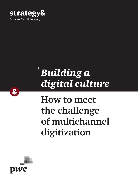

# *Building a digital culture*

## **How to meet the challenge of multichannel digitization**



 $\alpha$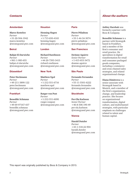#### Amsterdam

**Marco Kesteloo** *Partner* +31-20-504-1942 [marco.kesteloo](mailto:marco.kesteloo%40strategyand.pwc.com?subject=) [@strategyand.pwc.com](mailto:marco.kesteloo%40strategyand.pwc.com?subject=)

#### Beirut

**Bahjat El-Darwiche** *Partner* +961-1-985-655 [bahjat.el-darwiche](mailto:bahjat.el-darwiche%40strategyand.pwc.com%20?subject=) [@strategyand.pwc.com](mailto:bahjat.el-darwiche%40strategyand.pwc.com%20?subject=) 

#### Düsseldorf

**Peter Heckmann** *Partner* +49-211-3890-122 [peter.heckmann](mailto:peter.heckmann%40strategyand.pwc.com?subject=) [@strategyand.pwc.com](mailto:peter.heckmann%40strategyand.pwc.com?subject=)

#### Frankfurt

**Benedikt Schmaus** *Partner* +49-69-97167-437 [benedikt.schmaus](mailto:benedikt.schmaus%40strategyand.pwc.com?subject=) [@strategyand.pwc.com](mailto:benedikt.schmaus%40strategyand.pwc.com?subject=)

#### Houston

**Henning Hagen** *Partner*  +1-713-650-4165 [henning.hagen](mailto:henning.hagen%40strategyand.pwc.com?subject=) [@strategyand.pwc.com](mailto:henning.hagen%40strategyand.pwc.com?subject=)

#### London

**Richard Rawlinson** *Partner* +44-20-7393-3415 [richard.rawlinson](mailto:richard.rawlinson%40strategyand.pwc.com?subject=) [@strategyand.pwc.com](mailto:richard.rawlinson%40strategyand.pwc.com?subject=)

#### New York

**Matthew Egol** *Partner* +1-212-551-6716 [matthew.egol](mailto:matthew.egol%40strategyand.pwc.com?subject=) [@strategyand.pwc.com](mailto:matthew.egol%40strategyand.pwc.com?subject=)

**Rutger von Post** *Partner* +1-212-551-6090 [rutger.vonpost](mailto:rutger.vonpost%40strategyand.pwc.com?subject=) [@strategyand.pwc.com](mailto:rutger.vonpost%40strategyand.pwc.com?subject=)

#### Paris

**Pierre Péladeau** *Partner* +33-1-44-34-3074 [pierre.peladeau](mailto:pierre.peladeau%40strategyand.pwc.com?subject=) [@strategyand.pwc.com](mailto:pierre.peladeau%40strategyand.pwc.com?subject=)

#### San Francisco

**DeAnne Aguirre**  *Senior Partner* +1-415-653-3472 [deanne.aguirre](mailto:deanne.aguirre%40strategyand.pwc.com?subject=) [@strategyand.pwc.com](mailto:deanne.aguirre%40strategyand.pwc.com?subject=)

#### São Paulo

**Fernando Fernandes** *Partner* +55-11-5501-6222 [fernando.fernandes](mailto:fernando.fernandes%40strategyand.pwc.com%20?subject=) [@strategyand.pwc.com](mailto:fernando.fernandes%40strategyand.pwc.com%20?subject=)

#### Stockholm

**Per-Ola Karlsson** *Senior Partner* +46-8-506-190-49 [per-ola.karlsson](mailto:per-ola.karlsson%40strategyand.pwc.com?subject=) [@strategyand.pwc.com](mailto:per-ola.karlsson%40strategyand.pwc.com?subject=)

#### **Vienna**

**Harald Dutzler** *Partner* +43-1-518-22-904 [harald.dutzler](mailto:harald.dutzler%40strategyand.pwc.com?subject=) [@strategyand.pwc.com](mailto:harald.dutzler%40strategyand.pwc.com?subject=)

### *Contacts About the authors*

**Ashley Harshak** was formerly a partner with Booz & Company.

**Benedikt Schmaus** is a partner with Strategy& based in Frankfurt, and a member of the firm's consumer and retail practice. He specializes in digital transformation for retail and consumer packaged goods companies, including e-commerce and cross-channel sales strategies, and related organizational change.

**Diana Dimitrova** is a senior associate with Strategy& based in Munich, and a member of the firm's organization, change, and leadership practice. She focuses on organizational transformation, digital culture, and multichannel strategies, with particular emphasis on challenges related to talent and human capital.

This report was originally published by Booz & Company in 2013.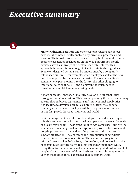### *Executive summary*

 $\boldsymbol{\alpha}$ 

**Many traditional retailers** and other customer-facing businesses have installed new digitally enabled organizations, processes, and systems. Their goal is to remain competitive by building multichannel experiences: attracting shoppers on the Web and through mobile devices as well as through their established retail stores. This approach, however, is not enough in itself to win in the digital age. Even well-designed systems can be undermined by a company's established culture — for example, when employees balk at the new practices required by the new technologies. The result is a divided company: one part moving into the future, the other clinging to traditional sales channels — and a delay in the much-needed transition to a multichannel operating model.

A more successful approach is to fully develop digital capabilities throughout retail operations. This can happen only if there is a company culture that embraces digital media and multichannel capabilities. It takes time to develop a digital corporate culture; the sooner a company acts, the more quickly it will be in a position to compete in this fast-paced, digitized, multichannel world.

Senior management can take practical steps to embed a new way of thinking and new behaviors into business operations, even at the scale of a large retail chain. These steps fall into two categories. First are the formal levers of change — l**eadership policies, role definitions,** and **people processes** — that address the processes and structures that support digitization. They organize the introduction of new digital channels into traditional operations. The second category is the informal levers — **key behaviors, role models**, and **networks** — that help employees start thinking, feeling, and behaving in new ways. Using these formal and informal levers in an integrated fashion can help people adapt to new ways of doing business and enable companies to deliver the multichannel experience that customers want.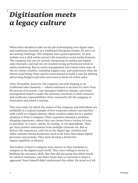## *Digitization meets a legacy culture*

When Peter decided to take on the job of developing new digital sales and marketing channels at a traditional European retailer, he saw it as an exciting challenge. The company had a good reputation, its new website was a slick online portal with innovative social media features. The company was not yet actively integrating its analog and digital sales channels, and had not yet reached strong performance levels in online marketing. But its senior management had visited some state-ofthe-art online retailers, including Zappos.com, and understood what the future could bring. Peter and his team started to build a case for shifting advertising budgets and other processes to focus on online sales.

After 18 months, however, the company was still clinging to its traditional sales channels — which continued to account for more than 80 percent of revenues. Line managers balked at change, and senior management failed to make the necessary decisions to shift resources and reallocate responsibilities. Peter eventually left the company in frustration and joined a startup.

This case study (in which the names of the company and individuals are withheld) is a typical example of how corporate culture can interfere with a shift to a digital identity. Many retailers today are in a similar situation to Peter's company. Their customers demand a seamless shopping experience, where they can choose from a variety of ways to purchase: in a store, online, by catalog, or via smartphone. They get their product information from multiple channels too. But to deliver this experience, and win in the digital age, retailers and other customer-facing businesses need to do more than adopt digital processes and systems. They must develop a distinctive digital capability or identity.

The leaders of Peter's company were sincere in their intention to compete in the digital retail world. They were willing to invest in building the necessary skills. But they did not grasp that there would be cultural resistance, and didn't know how to overcome it when it appeared. Peter himself didn't understand this either. He acted as if all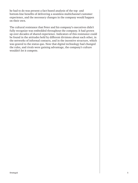he had to do was present a fact-based analysis of the top- and bottom-line benefits of delivering a seamless multichannel customer experience, and the necessary changes in the company would happen on their own.

The cultural resistance that Peter and his company's executives didn't fully recognize was embedded throughout the company. It had grown up over decades of shared experience. Indicators of this resistance could be found in the attitudes held by different divisions about each other, in the networks of informal contacts, and in the incentive structure, which was geared to the status quo. Now that digital technology had changed the rules, and rivals were gaining advantage, the company's culture wouldn't let it compete.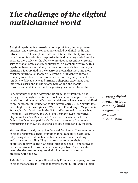### *The challenge of the digital multichannel world*

A digital capability is a cross-functional proficiency in the processes, practices, and customer connections enabled by digital media and infrastructure. This might include, for instance, the ability to convert data from online sales into responsive individually targeted offers that generate more sales; or the ability to provide robust online customer service that answers consumer questions in a compelling way. As this capability becomes ingrained, it gives a consumer-facing company a distinctive identity tied to the electronic media that more and more consumers turn to for shopping. A strong digital identity allows a company to be close to its customers wherever they are, it enables retailers to deliver a new and attractive shopping experience that integrates bricks-and-mortar stores with online and mobile convenience, and it helps build long-lasting customer relationships.

For companies that don't develop this digital identity in time, the carnage on the high street is real. Blockbuster, for example, stuck to its movie disc and tape rental business model even when customers shifted to online streaming. It filed for bankruptcy in early 2013. A similar fate befell high street music giants HMV in the U.K. and Virgin Megastore in France, Borders bookstore in the U.S., and household names such as Arcandor, Neckermann, and Quelle in Germany. Even innovative players such as Best Buy in the U.S. and John Lewis in the U.K. are facing significant competitive challenges that require fundamental restructuring as they, too, are forced to close stores and lay off staff.

Most retailers already recognize the need for change. They want to put in place a responsive digital or multichannel capability, seamlessly integrating storefront, mobile, online, click and collect, catalog, and call-center retailing. They are prepared to retool their existing operations to provide the new capabilities they need — and to invest in the skills to make those capabilities competitive. They may also recognize the need to integrate their old sales and marketing practices with the new.

This kind of major change will work only if there is a company culture in place that enables it — one that embraces, not just tolerates, digital

*A strong digital identity helps a company build long-lasting customer relationships.*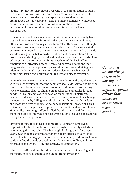media. A retail enterprise needs everyone in the organization to adapt to a new way of working. But companies are not always prepared to develop and nurture the digital corporate culture that makes an organization digitally capable. There are many examples of employees balking at adopting and championing new practices — and the multichannel transition that retailers need is delayed or loses steam entirely.

For example, employees in a large traditional retail chain usually have clearly defined tasks in a hierarchical structure. Decision making is often slow. Processes are organized hierarchically as well, even though they involve successive elements of the value chain. They are carried out in organizational silos that are not sufficiently connected to provide seamless integration between different parts of the operation. These processes are also highly specialized, and set up to meet the needs of an offline selling environment. A digital overhaul of the back-office functions can introduce new software and hardware solutions that integrate the functions previously carried out in silos, and hiring new talent with digital skill sets can introduce elements such as search engine marketing and optimization. But it won't please everyone.

Peter, who came from a company with a true digital culture, plowed on with his own version of what the company should do, without taking the time to learn from the experiences of other staff members or finding ways to convince them to change. In another case, a retailer hired a handful of young employees to develop an online sales platform. Resentful older staff members in product development all but sabotaged the new division by failing to equip the online channel with the latest and most attractive products. Whether conscious or unconscious, this resistance served a purpose: It protected the traditional, offline channel. Meanwhile, the young staffers bridled that the company didn't give them the scope to innovate and that even the smallest decision required a lengthy internal process.

Similar conflicts took place at a large travel company. Employees responsible for bricks-and-mortar stores fought repeatedly with those who managed online sales. This hurt digital sales growth for several years, even though senior management had prioritized the switch to online. The technology proved to be another challenge. Many customers could not find the deals or destinations they wanted online, and they reverted to store visits — or, increasingly, to competitors.

What can traditional retailers do to change their way of working and their culture to fully embrace the digital transformation?

*Companies are not always prepared to develop and nurture the digital corporate culture that makes an organization digitally capable.*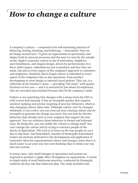### *How to change a culture*

A company's culture — composed of its self-sustaining patterns of behaving, feeling, thinking, and believing — determines "how we do things around here." It gives an organization its personality and shapes both its internal processes and the way it is seen by the outside world. Apple's corporate culture is one of innovation, simplicity, user-friendliness, and elegant design, driven by perfectionism. It is Steve Jobs's legacy, embodied not just in products and how they are made, but also in every aspect of the company's approach to customers and employees. Similarly, Ikea's frugal culture is embodied in every aspect of the company's day-to-day operations, from product development to store design to internal travel policies. This, too, is a reflection of the founder's vision — providing "the many" with quality furniture at low cost — and it is executed by just about all employees, who are recruited and retained because they fit the company's mold.

Culture is not something that changes with a memo from the CEO or with a town hall meeting. It has an intangible quality that requires sensitive nudging and precise targeting of new key behaviors, which is why changing culture takes time. Although culture can't be changed wholesale, it can evolve; you can even use your existing culture and its strengths to generate the change you need. You can look for the few behaviors that already exist in your company that support the new approach. You can reinforce those behaviors in formal and informal ways. By doing this, you can enable the culture to change itself. You can't change the culture just by trying to convince people of the merits of digitization. The trick is to focus on the way people act on a day-to-day basis. Jon Katzenbach, founder of Strategy&'s Katzenbach Center (an institute dedicated to the development and application of innovative ideas for organizational culture and change), notes that it is much easier to act your way into new thinking than to think your way into new actions.

In many cases, only small changes in operations and actions are required to produce a ripple effect throughout an organization. A recent in-depth study of retail backroom practices, conducted by Strategy&, confirms the key role that behaviors play. The study included nine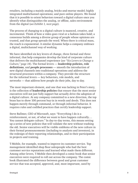retailers, including a mainly analog, bricks-and-mortar model; highly integrated multichannel operations; and pure online players. We found that it is possible to orient behaviors toward a digital culture once you identify what distinguishes the analog, or offline, sales environment from the digital (*see Exhibit 1, next page*).

The process of changing to a digital culture is nuanced, creative, and incremental. Think of how a video goes viral or a fashion takes hold; a consensus builds among a diverse group of people whose opinions are trusted, and that group spreads the word. When there is critical mass, the reach is exponential. A similar dynamic helps a company embrace a digital, multichannel way of working.

We have identified six key levers of change, three formal and three informal, that help companies develop the kind of corporate culture that delivers the multichannel experience (*see "Six Levers to Change a Culture," page 14*). The formal levers — **leadership policies, role definitions**, and **people processes** — smooth the introduction of new digital channels into traditional operations and address the structural processes within a company. They provide the structure for the informal levers — key behaviors, role models, and networks — that address how people do their jobs, day to day.

The most important element, and one that was lacking in Peter's story, is the collection of **leadership policies** that ensure that the most senior executives will not just fully support but actually drive the adoption of a digital culture. At any company committed to a new direction, the top brass has to show 100 percent buy-in in words and deeds. This does not happen merely through command, or through informal behavior. It requires rules and codified practices that certify leadership support.

Steve Ballmer, CEO of Microsoft, says: "Everything I do is a reinforcement, or not, of what we want to have happen culturally.… You cannot delegate culture." In day-to-day terms, this means setting up a series of new policies that will validate the new without trashing the old. Senior executives will be visible emblems of the new culture in their formal pronouncements (including to analysts and investors), in the redesign of their reporting relationships, and in their participation in projects and training.

T-Mobile, for example, wanted to improve its customer service. Top management identified shop floor salespeople who had the best customer service reputations and learned what made them different. Among other levers, T-Mobile then developed a comic book that senior executives were required to roll out across the company. The comic book illustrated the difference between good and great customer service that was accepted, approved, and, most important, used by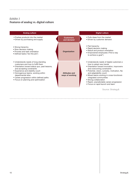### *Exhibit 1* **Features of analog vs. digital culture**

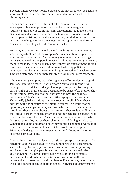T-Mobile employees everywhere. Because employees knew their leaders were watching, they knew line managers and all other levels of the hierarchy were too.

Or consider the case of a traditional retail company in which the slower-paced business processes were reflected in management routines. Management teams met only once a month to make critical business-wide decisions. Even then, the teams often revisited and revised past decisions; in the discussions, they tended to minimize risk and optimize long-standing processes, without spending much time considering the data gathered from online sales.

But then, as competition heated up and the digital retail era dawned, it was an important part of the company's transformation to update its governance processes too. The frequency of management meetings increased to weekly, and people received individual coaching to prepare them to make faster decisions in a more uncertain environment. It took time for management to accept these new leadership policies and behaviors, but ultimately decision making improved and accelerated to support a faster-paced and increasingly digital business environment.

When an analog company starts hiring new staff to implement digital solutions, it must be careful not to create a digital silo for the new employees. Instead it should signal an opportunity for retraining the entire staff. For a multichannel operation to be successful, everyone has to understand how each channel operates and how the channels interconnect. That's where **role definitions** play an important part. They clarify job descriptions that may seem unintelligible to those not familiar with the specifics of the digital business. In a multichannel operation, salespeople are not just those who meet customers on the shop floor; they answer phones at call centers, they reply to online chat, they process orders from the Internet, and they can also be staffers who track Facebook and Twitter. These and other roles need to be clearly designed, so employees see themselves as part of the bigger picture. When people don't understand how they fit into a changed organization, it can lead to unnecessary churn, which is costly and disruptive. Effective role design manages expectations and illustrates the types of career paths available.

Another important formal lever to consider is **people processes** — the functions usually associated with the human resources department, such as hiring, training, performance evaluations, career planning, and incentives that give people reasons to embrace new attitudes and behaviors. This lever is particularly relevant in shifting to a multichannel world where the criteria for evaluation will change because the nature of job functions change. For example, in an analog world, the person on the shop floor can easily figure out commissions by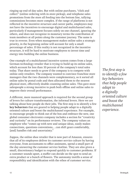ringing up end-of-day sales. But with online purchases, "click and collect" (online ordering with in-store pickup), and telephone sales promotions from the store all feeding into the bottom line, tallying commissions becomes more complex. If the range of platforms is not reflected in the incentive structure and career paths, employees may not have the incentives to encourage digital and multichannel sales, particularly if management focuses solely on one channel, ignoring the others, and does not recognize in monetary terms the contribution of team members at all points along the customer journey. The same is true in reverse. Even when management makes online sales a strategic priority, in the beginning online will account for only a small percentage of sales. If this reality is not recognized in the incentive structure, it will be hard to motivate employees to invest time and energy into building the online business.

One example of a multichannel incentive system comes from a large German technology retailer that is trying to build up its online sales, which account for less than 10 percent of the company's total sales today. That share needs to grow if the company is to compete with online-only retailers. The company wanted to convince franchise store managers that the two channels were complementary, so it sorted all online sales by postal code and then allocated them to the nearest physical store, effectively double-counting online sales. This gave store salespeople a strong incentive to push both offline and online sales to improve their overall performance.

A different, more nuanced approach is required for the second group of levers for culture transformation, the informal levers. Here we are talking about how people do their jobs. The first step is to identify a few **key behaviors** that are geared to helping people adapt to a digitally oriented culture and boost the multichannel experience. For example, to encourage people to think out of the box and embrace the new, one global consumer electronics company includes a section for "creativity and curiosity" on its performance reviews. The company values an employee who "comes up with new and unique ideas, easily makes connections, questions conventions,…can shift gears comfortably, [and] handles risk and uncertainty."

Zappos, the online shoe retailer that is now part of Amazon, ensures that all of its employees deliver its customer service culture by having everyone, from accountants to office assistants, spend a small part of the day answering the customer service hotline. They are also given a small, discretionary budget to respond quickly to customer problems. If a customer sounds upset, a staffer can decide on the spot to send an extra product or a bunch of flowers. The autonomy instills a sense of responsibility and identification with the ethos of customer service.

*The first step is to identify a few key behaviors that help people adapt to a digitally oriented culture and boost the multichannel experience.*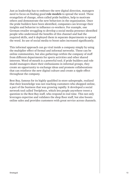Just as leadership has to embrace the new digital direction, managers need to focus on finding good **role models** to spread the word. These evangelists of change, often called pride builders, help to motivate others and demonstrate the new behaviors in the organization. Once the pride builders have been identified, companies can leverage their insights and behavior to influence co-workers. For example, one German retailer struggling to develop a social media presence identified people who understood the benefits of this channel and had the required skills, and it deployed them in separate departments to spread the word. Its use of social media to boost sales increased significantly.

This informal approach can go viral inside a company simply by using the multiplier effect of formal and informal networks. These can be online communities, but also gatherings within the company of staff from different departments for sports activities and other shared interests. Word-of-mouth is a powerful tool; if pride builders and role model managers share their enthusiasms in informal groups, they create an opportunity to exchange ideas and promote collaborations that can reinforce the new digital culture and create a ripple effect throughout the company.

Best Buy, famous for its highly qualified in-store salespeople, realized that their knowledge was not reaching customers who shopped online, a part of the business that was growing rapidly. It developed a social network tool called Twelpforce, which lets people anywhere tweet a question to the Best Buy staff, who respond in real time. This not only leverages expertise and validates the shop floor staff, but also boosts online sales and provides customers with great service across channels.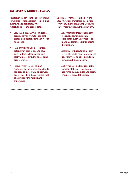#### *Six levers to change a culture*

Formal levers govern the processes and structures of management — including incentive and bonus structures, reporting lines, and career paths.

- *• Leadership policies:* One hundred percent buy-in from the top of the company is demonstrated in words and deeds.
- *• Role definitions:* Job descriptions detail what people do, and thus give staffers a clear career path that validates both the analog and digital worlds.
- *• People processes:* The human resources department understands the need to hire, train, and reward people based on the corporate goal of delivering the multichannel experience.

Informal levers determine how the structures are translated into action every day in the behavior patterns of employees throughout the company.

- *• Key behaviors:* Decision makers pick just a few incremental changes in everyday practice to make a difference in introducing digitization.
- *• Role models:* Executives identify (or hire) people who epitomize the key behaviors and promote them throughout the company.
- *• Networks:* People throughout the company take part in informal networks, such as clubs and social groups, to spread the word.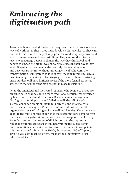### *Embracing the digitization path*

To fully embrace the digitization path requires companies to adopt new ways of working. In short, they must develop a digital culture. They can use the formal levers to help change processes and adapt organizational structures and roles and responsibilities. They can use the informal levers to encourage people to change the way they think, feel, and behave to embed the digital way of doing business in their day-to-day work. If senior management addresses only the formal aspects and develops structures without targeting critical behaviors, the transformation is unlikely to take root over the long term; similarly, a push to change behavior just by bringing in role models and nurturing pride builders will have limited success if the more formal corporate structures that support the staff are not in place to sustain it.

Peter, the ambitious and motivated manager who sought to introduce digitized sales channels into a more traditional retailer, was thwarted by his reliance on formal structures. Because senior management didn't grasp the full picture and failed to walk the talk, Peter's success depended on his ability to talk directly and informally to his threatened colleagues. When he couldn't or didn't do that, the organization resisted taking on its new digital identity. The urgency to adapt to the multichannel experience that customers are demanding is real. Few weeks go by without news of another corporate bankruptcy. By understanding the process of digitization and the important role that corporate culture plays in determining the success of its implementation, companies can transform themselves to compete in this multichannel mix. As Tony Hsieh, founder and CEO of Zappos, says: "If you get the culture right, most of the other stuff will just take care of itself."